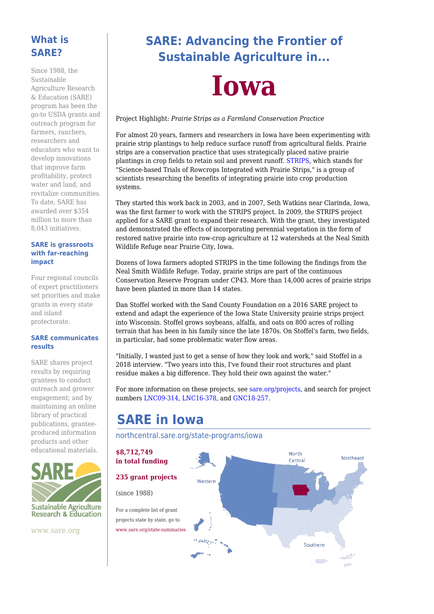#### **What is SARE?**

Since 1988, the Sustainable Agriculture Research & Education (SARE) program has been the go-to USDA grants and outreach program for farmers, ranchers, researchers and educators who want to develop innovations that improve farm profitability, protect water and land, and revitalize communities. To date, SARE has awarded over \$354 million to more than 8,043 initiatives.

#### **SARE is grassroots with far-reaching impact**

Four regional councils of expert practitioners set priorities and make grants in every state and island protectorate.

#### **SARE communicates results**

SARE shares project results by requiring grantees to conduct outreach and grower engagement; and by maintaining an online library of practical publications, granteeproduced information products and other educational materials.



www.sare.org

# **SARE: Advancing the Frontier of Sustainable Agriculture in...**



#### Project Highlight: *Prairie Strips as a Farmland Conservation Practice*

For almost 20 years, farmers and researchers in Iowa have been experimenting with prairie strip plantings to help reduce surface runoff from agricultural fields. Prairie strips are a conservation practice that uses strategically placed native prairie plantings in crop fields to retain soil and prevent runoff. [STRIPS](https://www.nrem.iastate.edu/research/STRIPS/), which stands for "Science-based Trials of Rowcrops Integrated with Prairie Strips," is a group of scientists researching the benefits of integrating prairie into crop production systems.

They started this work back in 2003, and in 2007, Seth Watkins near Clarinda, Iowa, was the first farmer to work with the STRIPS project. In 2009, the STRIPS project applied for a SARE grant to expand their research. With the grant, they investigated and demonstrated the effects of incorporating perennial vegetation in the form of restored native prairie into row-crop agriculture at 12 watersheds at the Neal Smith Wildlife Refuge near Prairie City, Iowa.

Dozens of Iowa farmers adopted STRIPS in the time following the findings from the Neal Smith Wildlife Refuge. Today, prairie strips are part of the continuous Conservation Reserve Program under CP43. More than 14,000 acres of prairie strips have been planted in more than 14 states.

Dan Stoffel worked with the Sand County Foundation on a 2016 SARE project to extend and adapt the experience of the Iowa State University prairie strips project into Wisconsin. Stoffel grows soybeans, alfalfa, and oats on 800 acres of rolling terrain that has been in his family since the late 1870s. On Stoffel's farm, two fields, in particular, had some problematic water flow areas.

"Initially, I wanted just to get a sense of how they look and work," said Stoffel in a 2018 interview. "Two years into this, I've found their root structures and plant residue makes a big difference. They hold their own against the water."

For more information on these projects, see [sare.org/projects](https://www.sare.org/projects), and search for project numbers [LNC09-314,](https://projects.sare.org/sare_project/lnc09-314/) [LNC16-378](https://projects.sare.org/sare_project/lnc16-378/), and [GNC18-257](https://projects.sare.org/sare_project/gnc18-257/).

# **SARE in Iowa**

#### [northcentral.sare.org/state-programs/iowa](https://northcentral.sare.org/state-programs/iowa)

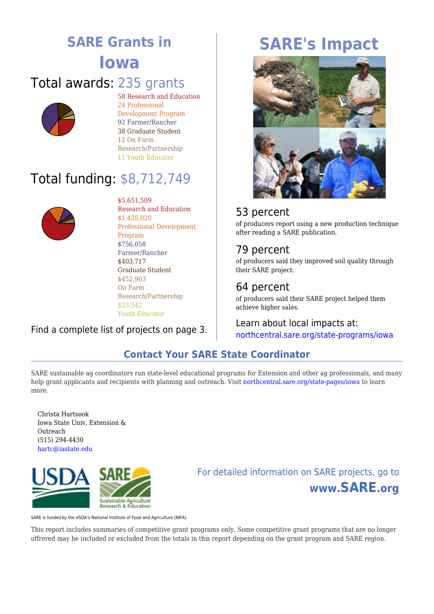# **SARE Grants in Iowa** Total awards: 235 grants



58 Research and Education 24 Professional Development Program 92 Farmer/Rancher 38 Graduate Student 12 On Farm Research/Partnership 11 Youth Educator

# Total funding: \$8,712,749



\$5,651,509 Research and Education \$1,425,020 Professional Development Program \$756,058 Farmer/Rancher \$403,717 Graduate Student \$452,903 On Farm Research/Partnership \$23,542 Youth Educator

## Find a complete list of projects on page 3.

# **SARE's Impact**



## 53 percent

of producers report using a new production technique after reading a SARE publication.

## 79 percent

of producers said they improved soil quality through their SARE project.

## 64 percent

of producers said their SARE project helped them achieve higher sales.

Learn about local impacts at: [northcentral.sare.org/state-programs/iowa](https://northcentral.sare.org/state-programs/iowa)

## **Contact Your SARE State Coordinator**

SARE sustainable ag coordinators run state-level educational programs for Extension and other ag professionals, and many help grant applicants and recipients with planning and outreach. Visit [northcentral.sare.org/state-pages/iowa](https://northcentral.sare.org/state-pages/iowa) to learn more.

Christa Hartsook Iowa State Univ, Extension & Outreach (515) 294-4430 [hartc@iastate.edu](mailto:hartc@iastate.edu)



# For detailed information on SARE projects, go to **www.SARE.org**

SARE is funded by the USDA's National Institute of Food and Agriculture (NIFA).

This report includes summaries of competitive grant programs only. Some competitive grant programs that are no longer offrered may be included or excluded from the totals in this report depending on the grant program and SARE region.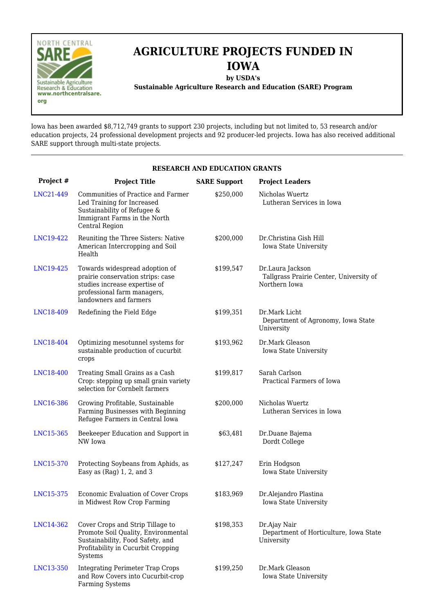

# **AGRICULTURE PROJECTS FUNDED IN IOWA**

**by USDA's**

**Sustainable Agriculture Research and Education (SARE) Program**

Iowa has been awarded \$8,712,749 grants to support 230 projects, including but not limited to, 53 research and/or education projects, 24 professional development projects and 92 producer-led projects. Iowa has also received additional SARE support through multi-state projects.

#### **RESEARCH AND EDUCATION GRANTS Project # Project Title SARE Support Project Leaders** [LNC21-449](https://projects.sare.org/sare_project/LNC21-449) Communities of Practice and Farmer Led Training for Increased Sustainability of Refugee & Immigrant Farms in the North Central Region \$250,000 Nicholas Wuertz Lutheran Services in Iowa [LNC19-422](https://projects.sare.org/sare_project/LNC19-422) Reuniting the Three Sisters: Native American Intercropping and Soil **Health** \$200,000 Dr.Christina Gish Hill Iowa State University [LNC19-425](https://projects.sare.org/sare_project/LNC19-425) Towards widespread adoption of prairie conservation strips: case studies increase expertise of professional farm managers, landowners and farmers \$199,547 Dr.Laura Jackson Tallgrass Prairie Center, University of Northern Iowa [LNC18-409](https://projects.sare.org/sare_project/LNC18-409) Redefining the Field Edge \$199,351 Dr.Mark Licht Department of Agronomy, Iowa State University [LNC18-404](https://projects.sare.org/sare_project/LNC18-404) Optimizing mesotunnel systems for sustainable production of cucurbit crops \$193,962 Dr.Mark Gleason Iowa State University [LNC18-400](https://projects.sare.org/sare_project/LNC18-400) Treating Small Grains as a Cash Crop: stepping up small grain variety selection for Cornbelt farmers \$199,817 Sarah Carlson Practical Farmers of Iowa [LNC16-386](https://projects.sare.org/sare_project/LNC16-386) Growing Profitable, Sustainable Farming Businesses with Beginning Refugee Farmers in Central Iowa \$200,000 Nicholas Wuertz Lutheran Services in Iowa [LNC15-365](https://projects.sare.org/sare_project/LNC15-365) Beekeeper Education and Support in NW Iowa \$63,481 Dr.Duane Bajema Dordt College [LNC15-370](https://projects.sare.org/sare_project/LNC15-370) Protecting Soybeans from Aphids, as Easy as (Rag) 1, 2, and 3 \$127,247 Erin Hodgson Iowa State University [LNC15-375](https://projects.sare.org/sare_project/LNC15-375) Economic Evaluation of Cover Crops in Midwest Row Crop Farming \$183,969 Dr.Alejandro Plastina Iowa State University [LNC14-362](https://projects.sare.org/sare_project/LNC14-362) Cover Crops and Strip Tillage to Promote Soil Quality, Environmental Sustainability, Food Safety, and Profitability in Cucurbit Cropping Systems \$198,353 Dr.Ajay Nair Department of Horticulture, Iowa State University [LNC13-350](https://projects.sare.org/sare_project/LNC13-350) Integrating Perimeter Trap Crops and Row Covers into Cucurbit-crop Farming Systems \$199,250 Dr.Mark Gleason Iowa State University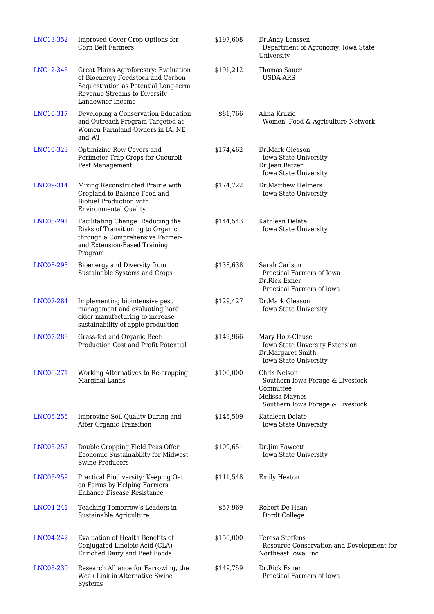| LNC13-352 | Improved Cover Crop Options for<br>Corn Belt Farmers                                                                                                                   | \$197,608 | Dr.Andy Lenssen<br>Department of Agronomy, Iowa State<br>University                                                 |
|-----------|------------------------------------------------------------------------------------------------------------------------------------------------------------------------|-----------|---------------------------------------------------------------------------------------------------------------------|
| LNC12-346 | Great Plains Agroforestry: Evaluation<br>of Bioenergy Feedstock and Carbon<br>Sequestration as Potential Long-term<br>Revenue Streams to Diversify<br>Landowner Income | \$191,212 | Thomas Sauer<br><b>USDA-ARS</b>                                                                                     |
| LNC10-317 | Developing a Conservation Education<br>and Outreach Program Targeted at<br>Women Farmland Owners in IA, NE<br>and WI                                                   | \$81,766  | Ahna Kruzic<br>Women, Food & Agriculture Network                                                                    |
| LNC10-323 | Optimizing Row Covers and<br>Perimeter Trap Crops for Cucurbit<br>Pest Management                                                                                      | \$174,462 | Dr.Mark Gleason<br>Iowa State University<br>Dr.Jean Batzer<br>Iowa State University                                 |
| LNC09-314 | Mixing Reconstructed Prairie with<br>Cropland to Balance Food and<br><b>Biofuel Production with</b><br><b>Environmental Quality</b>                                    | \$174,722 | Dr.Matthew Helmers<br>Iowa State University                                                                         |
| LNC08-291 | Facilitating Change: Reducing the<br>Risks of Transitioning to Organic<br>through a Comprehensive Farmer-<br>and Extension-Based Training<br>Program                   | \$144,543 | Kathleen Delate<br>Iowa State University                                                                            |
| LNC08-293 | Bioenergy and Diversity from<br>Sustainable Systems and Crops                                                                                                          | \$138,638 | Sarah Carlson<br>Practical Farmers of Iowa<br>Dr.Rick Exner<br>Practical Farmers of iowa                            |
| LNC07-284 | Implementing biointensive pest<br>management and evaluating hard<br>cider manufacturing to increase<br>sustainability of apple production                              | \$129,427 | Dr.Mark Gleason<br>Iowa State University                                                                            |
| LNC07-289 | Grass-fed and Organic Beef:<br>Production Cost and Profit Potential                                                                                                    | \$149,966 | Mary Holz-Clause<br>Iowa State Unversity Extension<br>Dr.Margaret Smith<br>Iowa State University                    |
| LNC06-271 | Working Alternatives to Re-cropping<br>Marginal Lands                                                                                                                  | \$100,000 | Chris Nelson<br>Southern Iowa Forage & Livestock<br>Committee<br>Melissa Maynes<br>Southern Iowa Forage & Livestock |
| LNC05-255 | Improving Soil Quality During and<br>After Organic Transition                                                                                                          | \$145,509 | Kathleen Delate<br>Iowa State University                                                                            |
| LNC05-257 | Double Cropping Field Peas Offer<br>Economic Sustainability for Midwest<br><b>Swine Producers</b>                                                                      | \$109,651 | Dr.Jim Fawcett<br>Iowa State University                                                                             |
| LNC05-259 | Practical Biodiversity: Keeping Oat<br>on Farms by Helping Farmers<br>Enhance Disease Resistance                                                                       | \$111,548 | <b>Emily Heaton</b>                                                                                                 |
| LNC04-241 | Teaching Tomorrow's Leaders in<br>Sustainable Agriculture                                                                                                              | \$57,969  | Robert De Haan<br>Dordt College                                                                                     |
| LNC04-242 | Evaluation of Health Benefits of<br>Conjugated Linoleic Acid (CLA)-<br><b>Enriched Dairy and Beef Foods</b>                                                            | \$150,000 | <b>Teresa Steffens</b><br>Resource Conservation and Development for<br>Northeast Iowa, Inc.                         |
| LNC03-230 | Research Alliance for Farrowing, the<br>Weak Link in Alternative Swine<br>Systems                                                                                      | \$149,759 | Dr.Rick Exner<br>Practical Farmers of iowa                                                                          |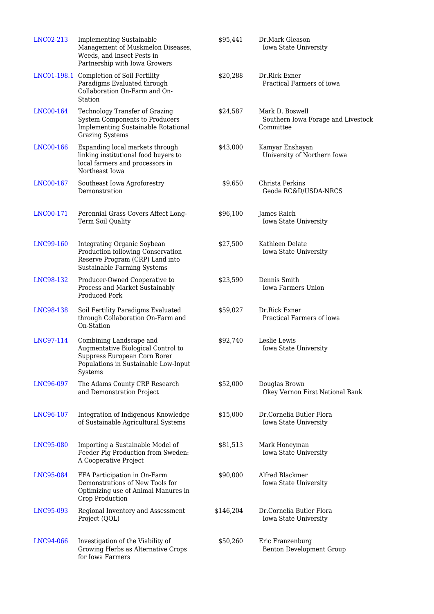| LNC02-213        | <b>Implementing Sustainable</b><br>Management of Muskmelon Diseases,<br>Weeds, and Insect Pests in<br>Partnership with Iowa Growers              | \$95,441  | Dr.Mark Gleason<br>Iowa State University                           |
|------------------|--------------------------------------------------------------------------------------------------------------------------------------------------|-----------|--------------------------------------------------------------------|
|                  | LNC01-198.1 Completion of Soil Fertility<br>Paradigms Evaluated through<br>Collaboration On-Farm and On-<br>Station                              | \$20,288  | Dr.Rick Exner<br>Practical Farmers of jowa                         |
| LNC00-164        | <b>Technology Transfer of Grazing</b><br>System Components to Producers<br><b>Implementing Sustainable Rotational</b><br><b>Grazing Systems</b>  | \$24,587  | Mark D. Boswell<br>Southern Iowa Forage and Livestock<br>Committee |
| LNC00-166        | Expanding local markets through<br>linking institutional food buyers to<br>local farmers and processors in<br>Northeast Iowa                     | \$43,000  | Kamyar Enshayan<br>University of Northern Iowa                     |
| <b>LNC00-167</b> | Southeast Iowa Agroforestry<br>Demonstration                                                                                                     | \$9,650   | Christa Perkins<br>Geode RC&D/USDA-NRCS                            |
| LNC00-171        | Perennial Grass Covers Affect Long-<br>Term Soil Quality                                                                                         | \$96,100  | James Raich<br>Iowa State University                               |
| LNC99-160        | Integrating Organic Soybean<br>Production following Conservation<br>Reserve Program (CRP) Land into<br>Sustainable Farming Systems               | \$27,500  | Kathleen Delate<br>Iowa State University                           |
| LNC98-132        | Producer-Owned Cooperative to<br>Process and Market Sustainably<br>Produced Pork                                                                 | \$23,590  | Dennis Smith<br>Iowa Farmers Union                                 |
| LNC98-138        | Soil Fertility Paradigms Evaluated<br>through Collaboration On-Farm and<br>On-Station                                                            | \$59,027  | Dr.Rick Exner<br>Practical Farmers of iowa                         |
| LNC97-114        | Combining Landscape and<br>Augmentative Biological Control to<br>Suppress European Corn Borer<br>Populations in Sustainable Low-Input<br>Systems | \$92,740  | Leslie Lewis<br>Iowa State University                              |
| LNC96-097        | The Adams County CRP Research<br>and Demonstration Project                                                                                       | \$52,000  | Douglas Brown<br>Okey Vernon First National Bank                   |
| LNC96-107        | Integration of Indigenous Knowledge<br>of Sustainable Agricultural Systems                                                                       | \$15,000  | Dr.Cornelia Butler Flora<br>Iowa State University                  |
| LNC95-080        | Importing a Sustainable Model of<br>Feeder Pig Production from Sweden:<br>A Cooperative Project                                                  | \$81,513  | Mark Honeyman<br>Iowa State University                             |
| LNC95-084        | FFA Participation in On-Farm<br>Demonstrations of New Tools for<br>Optimizing use of Animal Manures in<br>Crop Production                        | \$90,000  | Alfred Blackmer<br>Iowa State University                           |
| LNC95-093        | Regional Inventory and Assessment<br>Project (QOL)                                                                                               | \$146,204 | Dr.Cornelia Butler Flora<br>Iowa State University                  |
| LNC94-066        | Investigation of the Viability of<br>Growing Herbs as Alternative Crops<br>for Iowa Farmers                                                      | \$50,260  | Eric Franzenburg<br>Benton Development Group                       |
|                  |                                                                                                                                                  |           |                                                                    |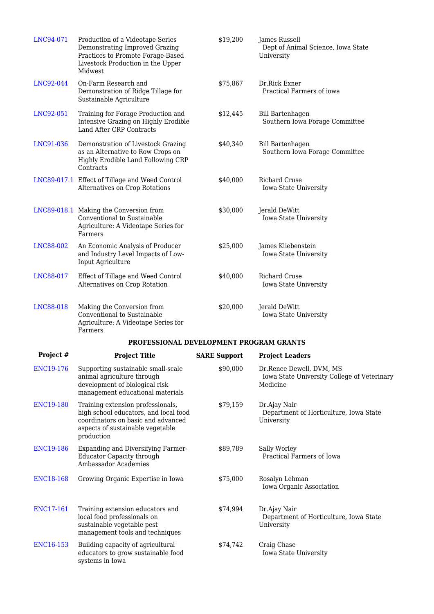| LNC94-071              | Production of a Videotape Series<br>Demonstrating Improved Grazing<br>Practices to Promote Forage-Based<br>Livestock Production in the Upper<br>Midwest            | \$19,200            | James Russell<br>Dept of Animal Science, Iowa State<br>University                   |
|------------------------|--------------------------------------------------------------------------------------------------------------------------------------------------------------------|---------------------|-------------------------------------------------------------------------------------|
| LNC92-044              | On-Farm Research and<br>Demonstration of Ridge Tillage for<br>Sustainable Agriculture                                                                              | \$75,867            | Dr.Rick Exner<br>Practical Farmers of iowa                                          |
| LNC92-051              | Training for Forage Production and<br>Intensive Grazing on Highly Erodible<br>Land After CRP Contracts                                                             | \$12,445            | <b>Bill Bartenhagen</b><br>Southern Iowa Forage Committee                           |
| LNC91-036              | Demonstration of Livestock Grazing<br>as an Alternative to Row Crops on<br>Highly Erodible Land Following CRP<br>Contracts                                         | \$40,340            | <b>Bill Bartenhagen</b><br>Southern Iowa Forage Committee                           |
|                        | LNC89-017.1 Effect of Tillage and Weed Control<br>Alternatives on Crop Rotations                                                                                   | \$40,000            | Richard Cruse<br>Iowa State University                                              |
|                        | LNC89-018.1 Making the Conversion from<br>Conventional to Sustainable<br>Agriculture: A Videotape Series for<br>Farmers                                            | \$30,000            | Jerald DeWitt<br>Iowa State University                                              |
| LNC88-002              | An Economic Analysis of Producer<br>and Industry Level Impacts of Low-<br>Input Agriculture                                                                        | \$25,000            | James Kliebenstein<br>Iowa State University                                         |
| LNC88-017              | Effect of Tillage and Weed Control<br>Alternatives on Crop Rotation                                                                                                | \$40,000            | Richard Cruse<br>Iowa State University                                              |
| LNC88-018              | Making the Conversion from<br>Conventional to Sustainable<br>Agriculture: A Videotape Series for<br>Farmers                                                        | \$20,000            | Jerald DeWitt<br>Iowa State University                                              |
|                        | PROFESSIONAL DEVELOPMENT PROGRAM GRANTS                                                                                                                            |                     |                                                                                     |
| Project #              | <b>Project Title</b>                                                                                                                                               | <b>SARE Support</b> | <b>Project Leaders</b>                                                              |
| <b>ENC19-176</b>       | Supporting sustainable small-scale<br>animal agriculture through<br>development of biological risk<br>management educational materials                             | \$90,000            | Dr.Renee Dewell, DVM, MS<br>Iowa State University College of Veterinary<br>Medicine |
| <b>ENC19-180</b>       | Training extension professionals,<br>high school educators, and local food<br>coordinators on basic and advanced<br>aspects of sustainable vegetable<br>production | \$79,159            | Dr.Ajay Nair<br>Department of Horticulture, Iowa State<br>University                |
| <b>ENC19-186</b>       | Expanding and Diversifying Farmer-<br><b>Educator Capacity through</b><br>Ambassador Academies                                                                     | \$89,789            | Sally Worley<br>Practical Farmers of Iowa                                           |
| <b>ENC18-168</b>       | Growing Organic Expertise in Iowa                                                                                                                                  | \$75,000            | Rosalyn Lehman<br>Iowa Organic Association                                          |
| ENC17-161              | Training extension educators and<br>local food professionals on<br>sustainable vegetable pest<br>management tools and techniques                                   | \$74,994            | Dr.Ajay Nair<br>Department of Horticulture, Iowa State<br>University                |
| ENC <sub>16</sub> -153 | Building capacity of agricultural<br>educators to grow sustainable food<br>systems in Iowa                                                                         | \$74,742            | Craig Chase<br>Iowa State University                                                |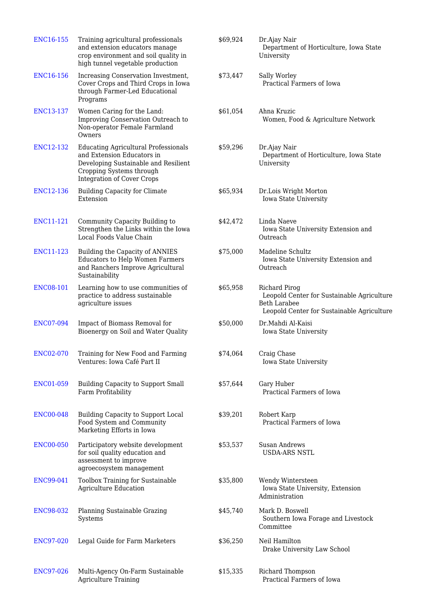| <b>ENC16-155</b> | Training agricultural professionals<br>and extension educators manage<br>crop environment and soil quality in<br>high tunnel vegetable production                                  | \$69,924 | Dr.Ajay Nair<br>Department of Horticulture, Iowa State<br>University                                                             |
|------------------|------------------------------------------------------------------------------------------------------------------------------------------------------------------------------------|----------|----------------------------------------------------------------------------------------------------------------------------------|
| <b>ENC16-156</b> | Increasing Conservation Investment,<br>Cover Crops and Third Crops in Iowa<br>through Farmer-Led Educational<br>Programs                                                           | \$73,447 | Sally Worley<br>Practical Farmers of Iowa                                                                                        |
| <b>ENC13-137</b> | Women Caring for the Land:<br>Improving Conservation Outreach to<br>Non-operator Female Farmland<br>Owners                                                                         | \$61,054 | Ahna Kruzic<br>Women, Food & Agriculture Network                                                                                 |
| ENC12-132        | <b>Educating Agricultural Professionals</b><br>and Extension Educators in<br>Developing Sustainable and Resilient<br>Cropping Systems through<br><b>Integration of Cover Crops</b> | \$59,296 | Dr.Ajay Nair<br>Department of Horticulture, Iowa State<br>University                                                             |
| <b>ENC12-136</b> | <b>Building Capacity for Climate</b><br>Extension                                                                                                                                  | \$65,934 | Dr.Lois Wright Morton<br>Iowa State University                                                                                   |
| ENC11-121        | Community Capacity Building to<br>Strengthen the Links within the Iowa<br>Local Foods Value Chain                                                                                  | \$42,472 | Linda Naeve<br>Iowa State University Extension and<br>Outreach                                                                   |
| ENC11-123        | Building the Capacity of ANNIES<br><b>Educators to Help Women Farmers</b><br>and Ranchers Improve Agricultural<br>Sustainability                                                   | \$75,000 | Madeline Schultz<br>Iowa State University Extension and<br>Outreach                                                              |
| <b>ENC08-101</b> | Learning how to use communities of<br>practice to address sustainable<br>agriculture issues                                                                                        | \$65,958 | Richard Pirog<br>Leopold Center for Sustainable Agriculture<br><b>Beth Larabee</b><br>Leopold Center for Sustainable Agriculture |
| <b>ENC07-094</b> | Impact of Biomass Removal for<br>Bioenergy on Soil and Water Quality                                                                                                               | \$50,000 | Dr.Mahdi Al-Kaisi<br>Iowa State University                                                                                       |
| <b>ENC02-070</b> | Training for New Food and Farming<br>Ventures: Iowa Café Part II                                                                                                                   | \$74,064 | Craig Chase<br>Iowa State University                                                                                             |
| <b>ENC01-059</b> | Building Capacity to Support Small<br>Farm Profitability                                                                                                                           | \$57,644 | Gary Huber<br>Practical Farmers of Iowa                                                                                          |
| <b>ENC00-048</b> | Building Capacity to Support Local<br>Food System and Community<br>Marketing Efforts in Iowa                                                                                       | \$39,201 | Robert Karp<br>Practical Farmers of Iowa                                                                                         |
| <b>ENC00-050</b> | Participatory website development<br>for soil quality education and<br>assessment to improve<br>agroecosystem management                                                           | \$53,537 | Susan Andrews<br><b>USDA-ARS NSTL</b>                                                                                            |
| <b>ENC99-041</b> | Toolbox Training for Sustainable<br><b>Agriculture Education</b>                                                                                                                   | \$35,800 | Wendy Wintersteen<br>Iowa State University, Extension<br>Administration                                                          |
| <b>ENC98-032</b> | Planning Sustainable Grazing<br>Systems                                                                                                                                            | \$45,740 | Mark D. Boswell<br>Southern Iowa Forage and Livestock<br>Committee                                                               |
| <b>ENC97-020</b> | Legal Guide for Farm Marketers                                                                                                                                                     | \$36,250 | Neil Hamilton<br>Drake University Law School                                                                                     |
| <b>ENC97-026</b> | Multi-Agency On-Farm Sustainable<br><b>Agriculture Training</b>                                                                                                                    | \$15,335 | Richard Thompson<br>Practical Farmers of Iowa                                                                                    |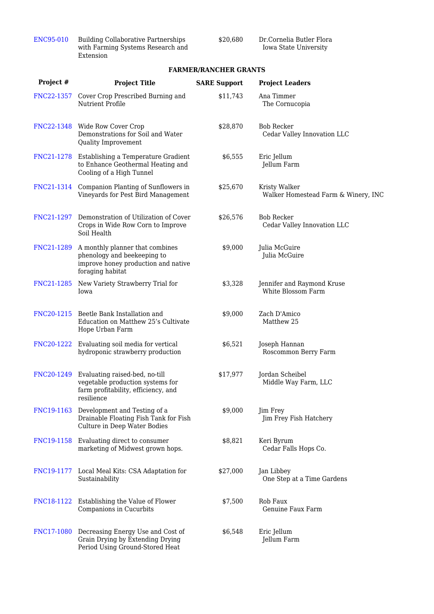| ENC95-010 | <b>Building Collaborative Partnerships</b> |
|-----------|--------------------------------------------|
|           | with Farming Systems Research and          |
|           | Extension                                  |

\$20,680 Dr.Cornelia Butler Flora Iowa State University

#### **FARMER/RANCHER GRANTS**

| Project #  | <b>Project Title</b>                                                                                                      | <b>SARE Support</b> | <b>Project Leaders</b>                               |
|------------|---------------------------------------------------------------------------------------------------------------------------|---------------------|------------------------------------------------------|
| FNC22-1357 | Cover Crop Prescribed Burning and<br>Nutrient Profile                                                                     | \$11,743            | Ana Timmer<br>The Cornucopia                         |
|            | FNC22-1348 Wide Row Cover Crop<br>Demonstrations for Soil and Water<br>Quality Improvement                                | \$28,870            | <b>Bob Recker</b><br>Cedar Valley Innovation LLC     |
| FNC21-1278 | Establishing a Temperature Gradient<br>to Enhance Geothermal Heating and<br>Cooling of a High Tunnel                      | \$6,555             | Eric Jellum<br>Jellum Farm                           |
| FNC21-1314 | Companion Planting of Sunflowers in<br>Vineyards for Pest Bird Management                                                 | \$25,670            | Kristy Walker<br>Walker Homestead Farm & Winery, INC |
| FNC21-1297 | Demonstration of Utilization of Cover<br>Crops in Wide Row Corn to Improve<br>Soil Health                                 | \$26,576            | <b>Bob Recker</b><br>Cedar Valley Innovation LLC     |
| FNC21-1289 | A monthly planner that combines<br>phenology and beekeeping to<br>improve honey production and native<br>foraging habitat | \$9,000             | Julia McGuire<br>Julia McGuire                       |
| FNC21-1285 | New Variety Strawberry Trial for<br>Iowa                                                                                  | \$3,328             | Jennifer and Raymond Kruse<br>White Blossom Farm     |
| FNC20-1215 | Beetle Bank Installation and<br>Education on Matthew 25's Cultivate<br>Hope Urban Farm                                    | \$9,000             | Zach D'Amico<br>Matthew 25                           |
| FNC20-1222 | Evaluating soil media for vertical<br>hydroponic strawberry production                                                    | \$6,521             | Joseph Hannan<br>Roscommon Berry Farm                |
| FNC20-1249 | Evaluating raised-bed, no-till<br>vegetable production systems for<br>farm profitability, efficiency, and<br>resilience   | \$17,977            | Jordan Scheibel<br>Middle Way Farm, LLC              |
|            | FNC19-1163 Development and Testing of a<br>Drainable Floating Fish Tank for Fish<br>Culture in Deep Water Bodies          | \$9,000             | Jim Frey<br>Jim Frey Fish Hatchery                   |
| FNC19-1158 | Evaluating direct to consumer<br>marketing of Midwest grown hops.                                                         | \$8,821             | Keri Byrum<br>Cedar Falls Hops Co.                   |
| FNC19-1177 | Local Meal Kits: CSA Adaptation for<br>Sustainability                                                                     | \$27,000            | Jan Libbey<br>One Step at a Time Gardens             |
| FNC18-1122 | Establishing the Value of Flower<br>Companions in Cucurbits                                                               | \$7,500             | Rob Faux<br>Genuine Faux Farm                        |
| FNC17-1080 | Decreasing Energy Use and Cost of<br>Grain Drying by Extending Drying<br>Period Using Ground-Stored Heat                  | \$6,548             | Eric Jellum<br>Jellum Farm                           |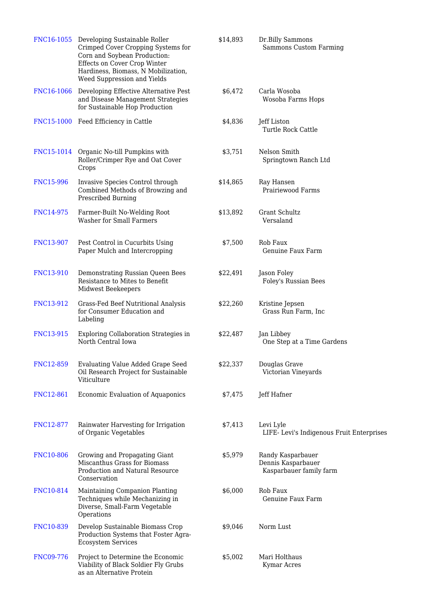|                   | FNC16-1055 Developing Sustainable Roller<br>Crimped Cover Cropping Systems for<br>Corn and Soybean Production:<br>Effects on Cover Crop Winter<br>Hardiness, Biomass, N Mobilization,<br>Weed Suppression and Yields | \$14,893 | Dr.Billy Sammons<br>Sammons Custom Farming                         |
|-------------------|----------------------------------------------------------------------------------------------------------------------------------------------------------------------------------------------------------------------|----------|--------------------------------------------------------------------|
| <b>FNC16-1066</b> | Developing Effective Alternative Pest<br>and Disease Management Strategies<br>for Sustainable Hop Production                                                                                                         | \$6,472  | Carla Wosoba<br>Wosoba Farms Hops                                  |
|                   | FNC15-1000 Feed Efficiency in Cattle                                                                                                                                                                                 | \$4,836  | Jeff Liston<br>Turtle Rock Cattle                                  |
|                   | FNC15-1014 Organic No-till Pumpkins with<br>Roller/Crimper Rye and Oat Cover<br>Crops                                                                                                                                | \$3,751  | Nelson Smith<br>Springtown Ranch Ltd                               |
| <b>FNC15-996</b>  | Invasive Species Control through<br>Combined Methods of Browzing and<br>Prescribed Burning                                                                                                                           | \$14,865 | Ray Hansen<br>Prairiewood Farms                                    |
| <b>FNC14-975</b>  | Farmer-Built No-Welding Root<br><b>Washer for Small Farmers</b>                                                                                                                                                      | \$13,892 | Grant Schultz<br>Versaland                                         |
| <b>FNC13-907</b>  | Pest Control in Cucurbits Using<br>Paper Mulch and Intercropping                                                                                                                                                     | \$7,500  | Rob Faux<br>Genuine Faux Farm                                      |
| FNC13-910         | Demonstrating Russian Queen Bees<br>Resistance to Mites to Benefit<br>Midwest Beekeepers                                                                                                                             | \$22,491 | Jason Foley<br>Foley's Russian Bees                                |
| FNC13-912         | Grass-Fed Beef Nutritional Analysis<br>for Consumer Education and<br>Labeling                                                                                                                                        | \$22,260 | Kristine Jepsen<br>Grass Run Farm, Inc                             |
| FNC13-915         | Exploring Collaboration Strategies in<br>North Central Iowa                                                                                                                                                          | \$22,487 | Jan Libbey<br>One Step at a Time Gardens                           |
| <b>FNC12-859</b>  | <b>Evaluating Value Added Grape Seed</b><br>Oil Research Project for Sustainable<br>Viticulture                                                                                                                      | \$22,337 | Douglas Grave<br>Victorian Vineyards                               |
| FNC12-861         | Economic Evaluation of Aquaponics                                                                                                                                                                                    | \$7,475  | Jeff Hafner                                                        |
| FNC12-877         | Rainwater Harvesting for Irrigation<br>of Organic Vegetables                                                                                                                                                         | \$7,413  | Levi Lyle<br>LIFE- Levi's Indigenous Fruit Enterprises             |
| <b>FNC10-806</b>  | Growing and Propagating Giant<br>Miscanthus Grass for Biomass<br>Production and Natural Resource<br>Conservation                                                                                                     | \$5,979  | Randy Kasparbauer<br>Dennis Kasparbauer<br>Kasparbauer family farm |
| FNC10-814         | Maintaining Companion Planting<br>Techniques while Mechanizing in<br>Diverse, Small-Farm Vegetable<br>Operations                                                                                                     | \$6,000  | Rob Faux<br>Genuine Faux Farm                                      |
| <b>FNC10-839</b>  | Develop Sustainable Biomass Crop<br>Production Systems that Foster Agra-<br><b>Ecosystem Services</b>                                                                                                                | \$9,046  | Norm Lust                                                          |
| <b>FNC09-776</b>  | Project to Determine the Economic<br>Viability of Black Soldier Fly Grubs<br>as an Alternative Protein                                                                                                               | \$5,002  | Mari Holthaus<br>Kymar Acres                                       |
|                   |                                                                                                                                                                                                                      |          |                                                                    |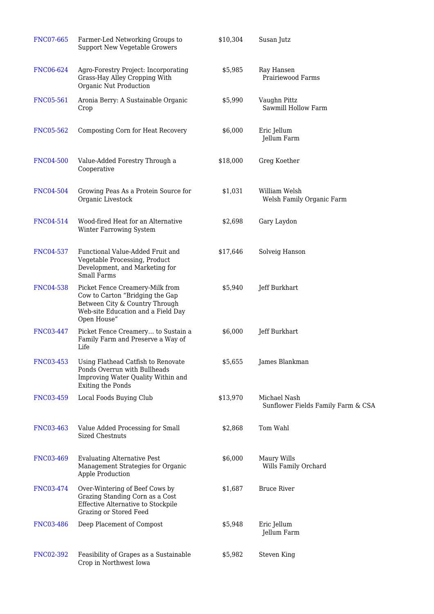| <b>FNC07-665</b> | Farmer-Led Networking Groups to<br><b>Support New Vegetable Growers</b>                                                                                   | \$10,304 | Susan Jutz                                         |
|------------------|-----------------------------------------------------------------------------------------------------------------------------------------------------------|----------|----------------------------------------------------|
| <b>FNC06-624</b> | Agro-Forestry Project: Incorporating<br>Grass-Hay Alley Cropping With<br>Organic Nut Production                                                           | \$5,985  | Ray Hansen<br>Prairiewood Farms                    |
| <b>FNC05-561</b> | Aronia Berry: A Sustainable Organic<br>Crop                                                                                                               | \$5,990  | Vaughn Pittz<br>Sawmill Hollow Farm                |
| <b>FNC05-562</b> | Composting Corn for Heat Recovery                                                                                                                         | \$6,000  | Eric Jellum<br>Jellum Farm                         |
| <b>FNC04-500</b> | Value-Added Forestry Through a<br>Cooperative                                                                                                             | \$18,000 | Greg Koether                                       |
| <b>FNC04-504</b> | Growing Peas As a Protein Source for<br>Organic Livestock                                                                                                 | \$1,031  | William Welsh<br>Welsh Family Organic Farm         |
| FNC04-514        | Wood-fired Heat for an Alternative<br>Winter Farrowing System                                                                                             | \$2,698  | Gary Laydon                                        |
| <b>FNC04-537</b> | Functional Value-Added Fruit and<br>Vegetable Processing, Product<br>Development, and Marketing for<br><b>Small Farms</b>                                 | \$17,646 | Solveig Hanson                                     |
| <b>FNC04-538</b> | Picket Fence Creamery-Milk from<br>Cow to Carton "Bridging the Gap<br>Between City & Country Through<br>Web-site Education and a Field Day<br>Open House" | \$5,940  | Jeff Burkhart                                      |
| <b>FNC03-447</b> | Picket Fence Creamery to Sustain a<br>Family Farm and Preserve a Way of<br>Life                                                                           | \$6,000  | Jeff Burkhart                                      |
| FNC03-453        | Using Flathead Catfish to Renovate<br>Ponds Overrun with Bullheads<br>Improving Water Quality Within and<br>Exiting the Ponds                             | \$5,655  | James Blankman                                     |
| <b>FNC03-459</b> | Local Foods Buying Club                                                                                                                                   | \$13,970 | Michael Nash<br>Sunflower Fields Family Farm & CSA |
| <b>FNC03-463</b> | Value Added Processing for Small<br><b>Sized Chestnuts</b>                                                                                                | \$2,868  | Tom Wahl                                           |
| <b>FNC03-469</b> | <b>Evaluating Alternative Pest</b><br>Management Strategies for Organic<br>Apple Production                                                               | \$6,000  | Maury Wills<br>Wills Family Orchard                |
| FNC03-474        | Over-Wintering of Beef Cows by<br>Grazing Standing Corn as a Cost<br>Effective Alternative to Stockpile<br>Grazing or Stored Feed                         | \$1,687  | <b>Bruce River</b>                                 |
| <b>FNC03-486</b> | Deep Placement of Compost                                                                                                                                 | \$5,948  | Eric Jellum<br>Jellum Farm                         |
| FNC02-392        | Feasibility of Grapes as a Sustainable<br>Crop in Northwest Iowa                                                                                          | \$5,982  | Steven King                                        |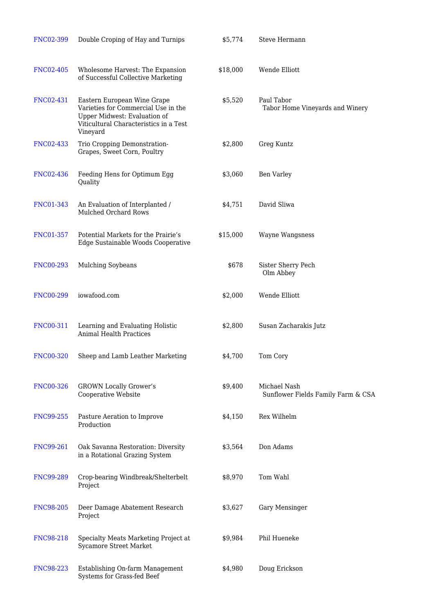| <b>FNC02-399</b> | Double Croping of Hay and Turnips                                                                                                                        | \$5,774  | <b>Steve Hermann</b>                               |
|------------------|----------------------------------------------------------------------------------------------------------------------------------------------------------|----------|----------------------------------------------------|
| <b>FNC02-405</b> | Wholesome Harvest: The Expansion<br>of Successful Collective Marketing                                                                                   | \$18,000 | Wende Elliott                                      |
| FNC02-431        | Eastern European Wine Grape<br>Varieties for Commercial Use in the<br>Upper Midwest: Evaluation of<br>Viticultural Characteristics in a Test<br>Vineyard | \$5,520  | Paul Tabor<br>Tabor Home Vineyards and Winery      |
| <b>FNC02-433</b> | Trio Cropping Demonstration-<br>Grapes, Sweet Corn, Poultry                                                                                              | \$2,800  | Greg Kuntz                                         |
| <b>FNC02-436</b> | Feeding Hens for Optimum Egg<br>Quality                                                                                                                  | \$3,060  | Ben Varley                                         |
| <b>FNC01-343</b> | An Evaluation of Interplanted /<br>Mulched Orchard Rows                                                                                                  | \$4,751  | David Sliwa                                        |
| <b>FNC01-357</b> | Potential Markets for the Prairie's<br>Edge Sustainable Woods Cooperative                                                                                | \$15,000 | Wayne Wangsness                                    |
| <b>FNC00-293</b> | <b>Mulching Soybeans</b>                                                                                                                                 | \$678    | Sister Sherry Pech<br>Olm Abbey                    |
| <b>FNC00-299</b> | iowafood.com                                                                                                                                             | \$2,000  | Wende Elliott                                      |
| FNC00-311        | Learning and Evaluating Holistic<br><b>Animal Health Practices</b>                                                                                       | \$2,800  | Susan Zacharakis Jutz                              |
| <b>FNC00-320</b> | Sheep and Lamb Leather Marketing                                                                                                                         | \$4,700  | Tom Cory                                           |
| <b>FNC00-326</b> | <b>GROWN Locally Grower's</b><br>Cooperative Website                                                                                                     | \$9,400  | Michael Nash<br>Sunflower Fields Family Farm & CSA |
| <b>FNC99-255</b> | Pasture Aeration to Improve<br>Production                                                                                                                | \$4,150  | Rex Wilhelm                                        |
| <b>FNC99-261</b> | Oak Savanna Restoration: Diversity<br>in a Rotational Grazing System                                                                                     | \$3,564  | Don Adams                                          |
| <b>FNC99-289</b> | Crop-bearing Windbreak/Shelterbelt<br>Project                                                                                                            | \$8,970  | Tom Wahl                                           |
| <b>FNC98-205</b> | Deer Damage Abatement Research<br>Project                                                                                                                | \$3,627  | Gary Mensinger                                     |
| <b>FNC98-218</b> | Specialty Meats Marketing Project at<br>Sycamore Street Market                                                                                           | \$9,984  | Phil Hueneke                                       |
| <b>FNC98-223</b> | Establishing On-farm Management<br>Systems for Grass-fed Beef                                                                                            | \$4,980  | Doug Erickson                                      |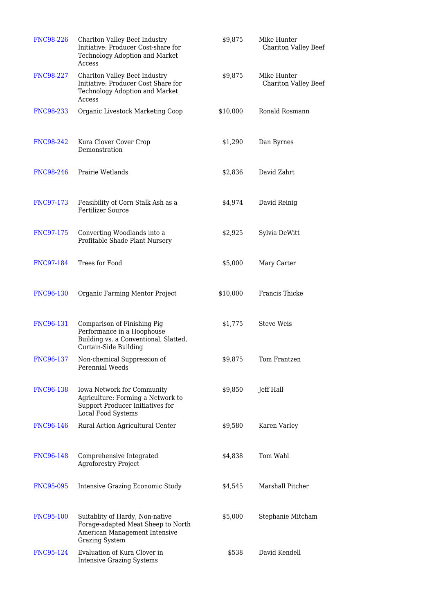| <b>FNC98-226</b> | Chariton Valley Beef Industry<br>Initiative: Producer Cost-share for<br>Technology Adoption and Market<br>Access                | \$9,875  | Mike Hunter<br><b>Chariton Valley Beef</b> |
|------------------|---------------------------------------------------------------------------------------------------------------------------------|----------|--------------------------------------------|
| <b>FNC98-227</b> | Chariton Valley Beef Industry<br>Initiative: Producer Cost Share for<br>Technology Adoption and Market<br>Access                | \$9,875  | Mike Hunter<br><b>Chariton Valley Beef</b> |
| <b>FNC98-233</b> | Organic Livestock Marketing Coop                                                                                                | \$10,000 | Ronald Rosmann                             |
| <b>FNC98-242</b> | Kura Clover Cover Crop<br>Demonstration                                                                                         | \$1,290  | Dan Byrnes                                 |
| <b>FNC98-246</b> | Prairie Wetlands                                                                                                                | \$2,836  | David Zahrt                                |
| FNC97-173        | Feasibility of Corn Stalk Ash as a<br><b>Fertilizer Source</b>                                                                  | \$4,974  | David Reinig                               |
| FNC97-175        | Converting Woodlands into a<br>Profitable Shade Plant Nursery                                                                   | \$2,925  | Sylvia DeWitt                              |
| <b>FNC97-184</b> | Trees for Food                                                                                                                  | \$5,000  | Mary Carter                                |
| <b>FNC96-130</b> | Organic Farming Mentor Project                                                                                                  | \$10,000 | Francis Thicke                             |
| FNC96-131        | Comparison of Finishing Pig<br>Performance in a Hoophouse<br>Building vs. a Conventional, Slatted,<br>Curtain-Side Building     | \$1,775  | <b>Steve Weis</b>                          |
| FNC96-137        | Non-chemical Suppression of<br>Perennial Weeds                                                                                  | \$9,875  | Tom Frantzen                               |
| <b>FNC96-138</b> | Iowa Network for Community<br>Agriculture: Forming a Network to<br>Support Producer Initiatives for<br>Local Food Systems       | \$9,850  | Jeff Hall                                  |
| <b>FNC96-146</b> | Rural Action Agricultural Center                                                                                                | \$9,580  | Karen Varley                               |
| <b>FNC96-148</b> | Comprehensive Integrated<br><b>Agroforestry Project</b>                                                                         | \$4,838  | Tom Wahl                                   |
| <b>FNC95-095</b> | <b>Intensive Grazing Economic Study</b>                                                                                         | \$4,545  | Marshall Pitcher                           |
| <b>FNC95-100</b> | Suitablity of Hardy, Non-native<br>Forage-adapted Meat Sheep to North<br>American Management Intensive<br><b>Grazing System</b> | \$5,000  | Stephanie Mitcham                          |
| FNC95-124        | Evaluation of Kura Clover in<br><b>Intensive Grazing Systems</b>                                                                | \$538    | David Kendell                              |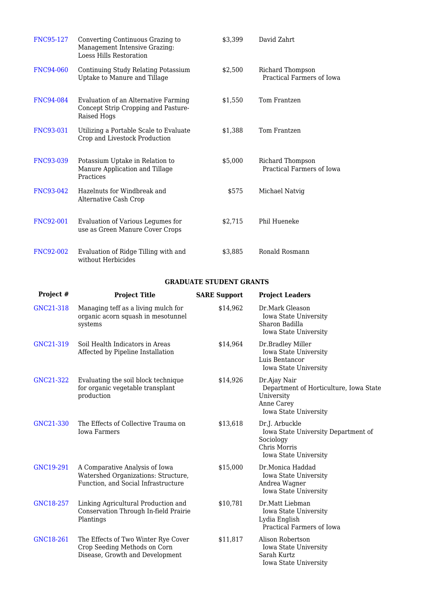| <b>FNC95-127</b> | Converting Continuous Grazing to<br>Management Intensive Grazing:<br><b>Loess Hills Restoration</b> | \$3,399 | David Zahrt                                   |
|------------------|-----------------------------------------------------------------------------------------------------|---------|-----------------------------------------------|
| <b>FNC94-060</b> | Continuing Study Relating Potassium<br>Uptake to Manure and Tillage                                 | \$2,500 | Richard Thompson<br>Practical Farmers of Iowa |
| FNC94-084        | Evaluation of an Alternative Farming<br>Concept Strip Cropping and Pasture-<br>Raised Hogs          | \$1,550 | Tom Frantzen                                  |
| <b>FNC93-031</b> | Utilizing a Portable Scale to Evaluate<br>Crop and Livestock Production                             | \$1,388 | Tom Frantzen                                  |
| <b>FNC93-039</b> | Potassium Uptake in Relation to<br>Manure Application and Tillage<br>Practices                      | \$5,000 | Richard Thompson<br>Practical Farmers of Iowa |
| FNC93-042        | Hazelnuts for Windbreak and<br>Alternative Cash Crop                                                | \$575   | Michael Natvig                                |
| <b>FNC92-001</b> | Evaluation of Various Legumes for<br>use as Green Manure Cover Crops                                | \$2,715 | Phil Hueneke                                  |
| <b>FNC92-002</b> | Evaluation of Ridge Tilling with and<br>without Herbicides                                          | \$3,885 | Ronald Rosmann                                |

#### **GRADUATE STUDENT GRANTS**

| Project # | <b>Project Title</b>                                                                                         | <b>SARE Support</b> | <b>Project Leaders</b>                                                                                      |
|-----------|--------------------------------------------------------------------------------------------------------------|---------------------|-------------------------------------------------------------------------------------------------------------|
| GNC21-318 | Managing teff as a living mulch for<br>organic acorn squash in mesotunnel<br>systems                         | \$14,962            | Dr.Mark Gleason<br>Iowa State University<br>Sharon Badilla<br>Iowa State University                         |
| GNC21-319 | Soil Health Indicators in Areas<br>Affected by Pipeline Installation                                         | \$14,964            | Dr.Bradley Miller<br>Iowa State University<br>Luis Bentancor<br>Iowa State University                       |
| GNC21-322 | Evaluating the soil block technique<br>for organic vegetable transplant<br>production                        | \$14,926            | Dr.Ajay Nair<br>Department of Horticulture, Iowa State<br>University<br>Anne Carey<br>Iowa State University |
| GNC21-330 | The Effects of Collective Trauma on<br><b>Iowa Farmers</b>                                                   | \$13,618            | Dr.J. Arbuckle<br>Iowa State University Department of<br>Sociology<br>Chris Morris<br>Iowa State University |
| GNC19-291 | A Comparative Analysis of Iowa<br>Watershed Organizations: Structure,<br>Function, and Social Infrastructure | \$15,000            | Dr.Monica Haddad<br>Iowa State University<br>Andrea Wagner<br>Iowa State University                         |
| GNC18-257 | Linking Agricultural Production and<br>Conservation Through In-field Prairie<br>Plantings                    | \$10,781            | Dr.Matt Liebman<br>Iowa State University<br>Lydia English<br>Practical Farmers of Iowa                      |
| GNC18-261 | The Effects of Two Winter Rye Cover<br>Crop Seeding Methods on Corn<br>Disease, Growth and Development       | \$11,817            | Alison Robertson<br>Iowa State University<br>Sarah Kurtz<br>Iowa State University                           |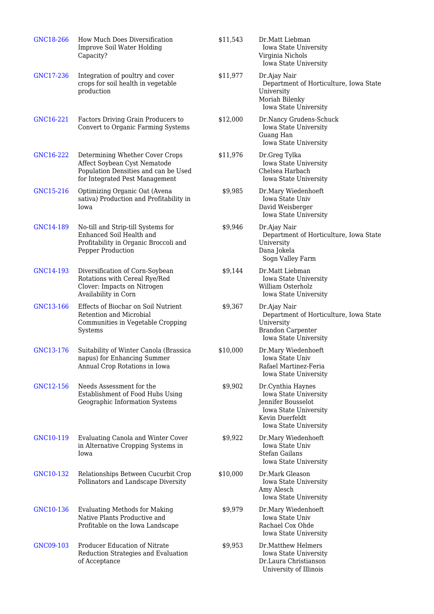| GNC18-266 | How Much Does Diversification<br>Improve Soil Water Holding<br>Capacity?                                                                  | \$11,543 | Dr.Matt Liebman<br>Iowa State University<br>Virginia Nichols<br>Iowa State University                                                 |
|-----------|-------------------------------------------------------------------------------------------------------------------------------------------|----------|---------------------------------------------------------------------------------------------------------------------------------------|
| GNC17-236 | Integration of poultry and cover<br>crops for soil health in vegetable<br>production                                                      | \$11,977 | Dr.Ajay Nair<br>Department of Horticulture, Iowa State<br>University<br>Moriah Bilenky<br>Iowa State University                       |
| GNC16-221 | Factors Driving Grain Producers to<br>Convert to Organic Farming Systems                                                                  | \$12,000 | Dr.Nancy Grudens-Schuck<br>Iowa State University<br>Guang Han<br>Iowa State University                                                |
| GNC16-222 | Determining Whether Cover Crops<br>Affect Soybean Cyst Nematode<br>Population Densities and can be Used<br>for Integrated Pest Management | \$11,976 | Dr.Greg Tylka<br>Iowa State University<br>Chelsea Harbach<br><b>Iowa State University</b>                                             |
| GNC15-216 | Optimizing Organic Oat (Avena<br>sativa) Production and Profitability in<br>Iowa                                                          | \$9,985  | Dr.Mary Wiedenhoeft<br>Iowa State Univ<br>David Weisberger<br>Iowa State University                                                   |
| GNC14-189 | No-till and Strip-till Systems for<br>Enhanced Soil Health and<br>Profitability in Organic Broccoli and<br>Pepper Production              | \$9,946  | Dr.Ajay Nair<br>Department of Horticulture, Iowa State<br>University<br>Dana Jokela<br>Sogn Valley Farm                               |
| GNC14-193 | Diversification of Corn-Soybean<br>Rotations with Cereal Rye/Red<br>Clover: Impacts on Nitrogen<br>Availability in Corn                   | \$9,144  | Dr.Matt Liebman<br>Iowa State University<br>William Osterholz<br>Iowa State University                                                |
| GNC13-166 | Effects of Biochar on Soil Nutrient<br>Retention and Microbial<br>Communities in Vegetable Cropping<br>Systems                            | \$9,367  | Dr.Ajay Nair<br>Department of Horticulture, Iowa State<br>University<br><b>Brandon Carpenter</b><br>Iowa State University             |
| GNC13-176 | Suitability of Winter Canola (Brassica<br>napus) for Enhancing Summer<br>Annual Crop Rotations in Iowa                                    | \$10,000 | Dr.Mary Wiedenhoeft<br>Iowa State Univ<br>Rafael Martinez-Feria<br>Iowa State University                                              |
| GNC12-156 | Needs Assessment for the<br>Establishment of Food Hubs Using<br>Geographic Information Systems                                            | \$9,902  | Dr.Cynthia Haynes<br>Iowa State University<br>Jennifer Bousselot<br>Iowa State University<br>Kevin Duerfeldt<br>Iowa State University |
| GNC10-119 | <b>Evaluating Canola and Winter Cover</b><br>in Alternative Cropping Systems in<br>Iowa                                                   | \$9,922  | Dr.Mary Wiedenhoeft<br>Iowa State Univ<br>Stefan Gailans<br>Iowa State University                                                     |
| GNC10-132 | Relationships Between Cucurbit Crop<br>Pollinators and Landscape Diversity                                                                | \$10,000 | Dr.Mark Gleason<br>Iowa State University<br>Amy Alesch<br>Iowa State University                                                       |
| GNC10-136 | <b>Evaluating Methods for Making</b><br>Native Plants Productive and<br>Profitable on the Iowa Landscape                                  | \$9,979  | Dr.Mary Wiedenhoeft<br>Iowa State Univ<br>Rachael Cox Ohde<br>Iowa State University                                                   |
| GNC09-103 | Producer Education of Nitrate<br>Reduction Strategies and Evaluation<br>of Acceptance                                                     | \$9,953  | Dr.Matthew Helmers<br>Iowa State University<br>Dr.Laura Christianson<br>University of Illinois                                        |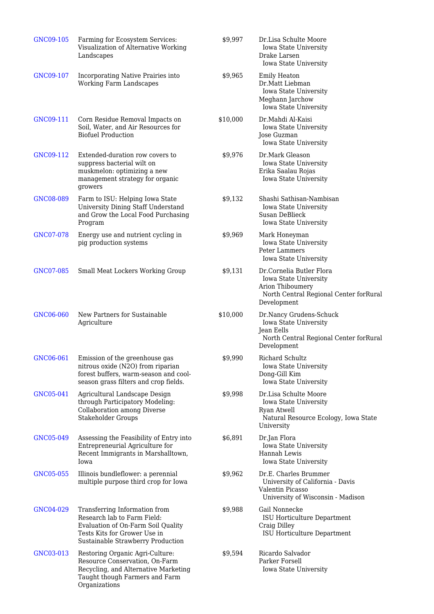| GNC09-105 | Farming for Ecosystem Services:<br>Visualization of Alternative Working<br>Landscapes                                                                                   | \$9,997  | Dr.Lisa Schulte Moore<br>Iowa State University<br>Drake Larsen<br>Iowa State University                                        |
|-----------|-------------------------------------------------------------------------------------------------------------------------------------------------------------------------|----------|--------------------------------------------------------------------------------------------------------------------------------|
| GNC09-107 | Incorporating Native Prairies into<br><b>Working Farm Landscapes</b>                                                                                                    | \$9,965  | <b>Emily Heaton</b><br>Dr.Matt Liebman<br>Iowa State University<br>Meghann Jarchow<br>Iowa State University                    |
| GNC09-111 | Corn Residue Removal Impacts on<br>Soil, Water, and Air Resources for<br><b>Biofuel Production</b>                                                                      | \$10,000 | Dr.Mahdi Al-Kaisi<br>Iowa State University<br>Jose Guzman<br>Iowa State University                                             |
| GNC09-112 | Extended-duration row covers to<br>suppress bacterial wilt on<br>muskmelon: optimizing a new<br>management strategy for organic<br>growers                              | \$9,976  | Dr.Mark Gleason<br>Iowa State University<br>Erika Saalau Rojas<br>Iowa State University                                        |
| GNC08-089 | Farm to ISU: Helping Iowa State<br>University Dining Staff Understand<br>and Grow the Local Food Purchasing<br>Program                                                  | \$9,132  | Shashi Sathisan-Nambisan<br>Iowa State University<br>Susan DeBlieck<br>Iowa State University                                   |
| GNC07-078 | Energy use and nutrient cycling in<br>pig production systems                                                                                                            | \$9,969  | Mark Honeyman<br>Iowa State University<br>Peter Lammers<br>Iowa State University                                               |
| GNC07-085 | Small Meat Lockers Working Group                                                                                                                                        | \$9,131  | Dr.Cornelia Butler Flora<br>Iowa State University<br>Arion Thiboumery<br>North Central Regional Center forRural<br>Development |
| GNC06-060 | New Partners for Sustainable<br>Agriculture                                                                                                                             | \$10,000 | Dr.Nancy Grudens-Schuck<br>Iowa State University<br>Jean Eells<br>North Central Regional Center forRural<br>Development        |
| GNC06-061 | Emission of the greenhouse gas<br>nitrous oxide (N2O) from riparian<br>forest buffers, warm-season and cool-<br>season grass filters and crop fields.                   | \$9,990  | Richard Schultz<br>Iowa State University<br>Dong-Gill Kim<br>Iowa State University                                             |
| GNC05-041 | Agricultural Landscape Design<br>through Participatory Modeling:<br>Collaboration among Diverse<br><b>Stakeholder Groups</b>                                            | \$9,998  | Dr.Lisa Schulte Moore<br>Iowa State University<br>Ryan Atwell<br>Natural Resource Ecology, Iowa State<br>University            |
| GNC05-049 | Assessing the Feasibility of Entry into<br>Entrepreneurial Agriculture for<br>Recent Immigrants in Marshalltown,<br>Iowa                                                | \$6,891  | Dr.Jan Flora<br>Iowa State University<br>Hannah Lewis<br>Iowa State University                                                 |
| GNC05-055 | Illinois bundleflower: a perennial<br>multiple purpose third crop for Iowa                                                                                              | \$9,962  | Dr.E. Charles Brummer<br>University of California - Davis<br>Valentin Picasso<br>University of Wisconsin - Madison             |
| GNC04-029 | Transferring Information from<br>Research lab to Farm Field:<br>Evaluation of On-Farm Soil Quality<br>Tests Kits for Grower Use in<br>Sustainable Strawberry Production | \$9,988  | Gail Nonnecke<br>ISU Horticulture Department<br>Craig Dilley<br>ISU Horticulture Department                                    |
| GNC03-013 | Restoring Organic Agri-Culture:<br>Resource Conservation, On-Farm<br>Recycling, and Alternative Marketing<br>Taught though Farmers and Farm<br>Organizations            | \$9,594  | Ricardo Salvador<br>Parker Forsell<br>Iowa State University                                                                    |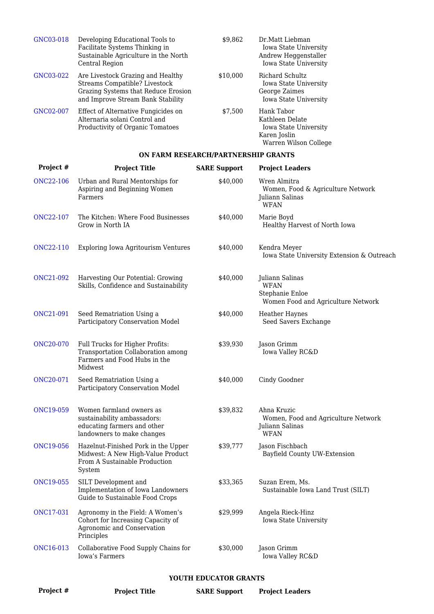| GNC03-018 | Developing Educational Tools to<br>Facilitate Systems Thinking in<br>Sustainable Agriculture in the North<br>Central Region                    | \$9,862  | Dr.Matt Liebman<br>Iowa State University<br>Andrew Heggenstaller<br>Iowa State University       |
|-----------|------------------------------------------------------------------------------------------------------------------------------------------------|----------|-------------------------------------------------------------------------------------------------|
| GNC03-022 | Are Livestock Grazing and Healthy<br>Streams Compatible? Livestock<br>Grazing Systems that Reduce Erosion<br>and Improve Stream Bank Stability | \$10.000 | Richard Schultz<br>Iowa State University<br>George Zaimes<br><b>Iowa State University</b>       |
| GNC02-007 | Effect of Alternative Fungicides on<br>Alternaria solani Control and<br>Productivity of Organic Tomatoes                                       | \$7,500  | Hank Tabor<br>Kathleen Delate<br>Iowa State University<br>Karen Joslin<br>Warren Wilson College |

#### **ON FARM RESEARCH/PARTNERSHIP GRANTS**

| Project #             | <b>Project Title</b>                                                                                                 | <b>SARE Support</b> | <b>Project Leaders</b>                                                                  |
|-----------------------|----------------------------------------------------------------------------------------------------------------------|---------------------|-----------------------------------------------------------------------------------------|
| <b>ONC22-106</b>      | Urban and Rural Mentorships for<br>Aspiring and Beginning Women<br>Farmers                                           | \$40,000            | Wren Almitra<br>Women, Food & Agriculture Network<br>Juliann Salinas<br><b>WFAN</b>     |
| <b>ONC22-107</b>      | The Kitchen: Where Food Businesses<br>Grow in North IA                                                               | \$40,000            | Marie Boyd<br>Healthy Harvest of North Iowa                                             |
| <b>ONC22-110</b>      | Exploring Iowa Agritourism Ventures                                                                                  | \$40,000            | Kendra Meyer<br>Iowa State University Extension & Outreach                              |
| <b>ONC21-092</b>      | Harvesting Our Potential: Growing<br>Skills, Confidence and Sustainability                                           | \$40,000            | Juliann Salinas<br><b>WFAN</b><br>Stephanie Enloe<br>Women Food and Agriculture Network |
| <b>ONC21-091</b>      | Seed Rematriation Using a<br>Participatory Conservation Model                                                        | \$40,000            | <b>Heather Haynes</b><br>Seed Savers Exchange                                           |
| <b>ONC20-070</b>      | Full Trucks for Higher Profits:<br>Transportation Collaboration among<br>Farmers and Food Hubs in the<br>Midwest     | \$39,930            | Jason Grimm<br>Iowa Valley RC&D                                                         |
| ONC20-071             | Seed Rematriation Using a<br>Participatory Conservation Model                                                        | \$40,000            | Cindy Goodner                                                                           |
| <b>ONC19-059</b>      | Women farmland owners as<br>sustainability ambassadors:<br>educating farmers and other<br>landowners to make changes | \$39,832            | Ahna Kruzic<br>Women, Food and Agriculture Network<br>Juliann Salinas<br><b>WFAN</b>    |
| <b>ONC19-056</b>      | Hazelnut-Finished Pork in the Upper<br>Midwest: A New High-Value Product<br>From A Sustainable Production<br>System  | \$39,777            | Jason Fischbach<br>Bayfield County UW-Extension                                         |
| <b>ONC19-055</b>      | SILT Development and<br>Implementation of Iowa Landowners<br>Guide to Sustainable Food Crops                         | \$33,365            | Suzan Erem, Ms.<br>Sustainable Iowa Land Trust (SILT)                                   |
| <b>ONC17-031</b>      | Agronomy in the Field: A Women's<br>Cohort for Increasing Capacity of<br>Agronomic and Conservation<br>Principles    | \$29,999            | Angela Rieck-Hinz<br>Iowa State University                                              |
| ONC16-013             | Collaborative Food Supply Chains for<br>Iowa's Farmers                                                               | \$30,000            | Jason Grimm<br>Iowa Valley RC&D                                                         |
| VOUTU EDUCATOR CRANTE |                                                                                                                      |                     |                                                                                         |

#### **YOUTH EDUCATOR GRANTS**

| Project # | <b>Project Title</b> | <b>Project Leaders</b><br><b>SARE Support</b> |
|-----------|----------------------|-----------------------------------------------|
|-----------|----------------------|-----------------------------------------------|